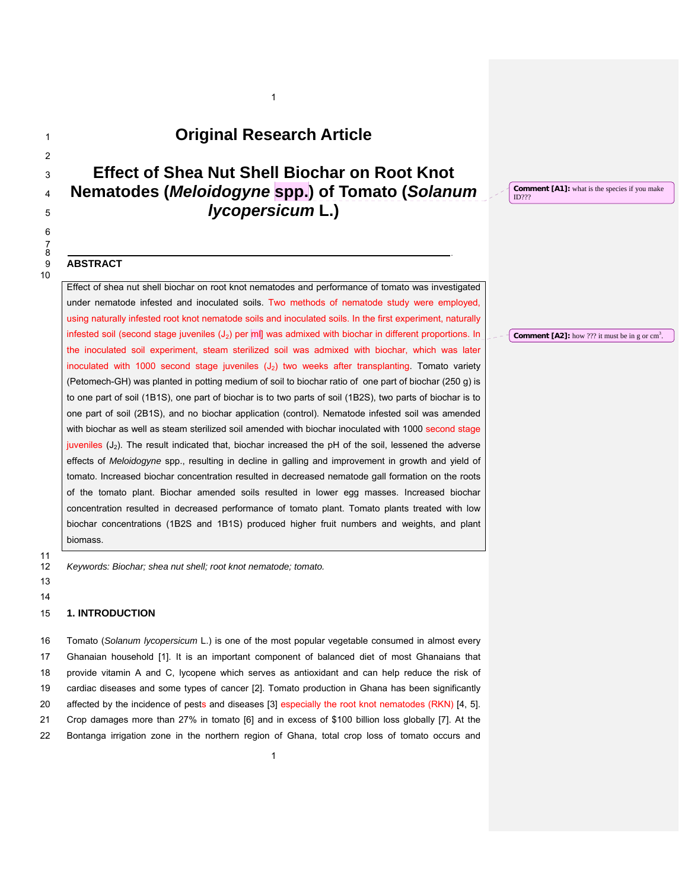# <sup>1</sup>**Original Research Article**

1

# <sup>3</sup>**Effect of Shea Nut Shell Biochar on Root Knot**  <sup>4</sup>**Nematodes (***Meloidogyne* **spp.) of Tomato (***Solanum*  <sup>5</sup>*lycopersicum* **L.)**

8 .

**Comment [A1]:** what is the species if you make ID???

## 9 **ABSTRACT**

 $\overline{a}$ 

6 7

10

Effect of shea nut shell biochar on root knot nematodes and performance of tomato was investigated under nematode infested and inoculated soils. Two methods of nematode study were employed, using naturally infested root knot nematode soils and inoculated soils. In the first experiment, naturally infested soil (second stage juveniles (J<sub>2</sub>) per ml| was admixed with biochar in different proportions. In the inoculated soil experiment, steam sterilized soil was admixed with biochar, which was later inoculated with 1000 second stage juveniles  $(J_2)$  two weeks after transplanting. Tomato variety (Petomech-GH) was planted in potting medium of soil to biochar ratio of one part of biochar (250 g) is to one part of soil (1B1S), one part of biochar is to two parts of soil (1B2S), two parts of biochar is to one part of soil (2B1S), and no biochar application (control). Nematode infested soil was amended with biochar as well as steam sterilized soil amended with biochar inoculated with 1000 second stage juveniles  $(J_2)$ . The result indicated that, biochar increased the pH of the soil, lessened the adverse effects of *Meloidogyne* spp., resulting in decline in galling and improvement in growth and yield of tomato. Increased biochar concentration resulted in decreased nematode gall formation on the roots of the tomato plant. Biochar amended soils resulted in lower egg masses. Increased biochar concentration resulted in decreased performance of tomato plant. Tomato plants treated with low biochar concentrations (1B2S and 1B1S) produced higher fruit numbers and weights, and plant biomass.

11

12 *Keywords: Biochar; shea nut shell; root knot nematode; tomato.* 

13 14

### 15 **1. INTRODUCTION**

16 Tomato (*Solanum lycopersicum* L.) is one of the most popular vegetable consumed in almost every 17 Ghanaian household [1]. It is an important component of balanced diet of most Ghanaians that 18 provide vitamin A and C, lycopene which serves as antioxidant and can help reduce the risk of 19 cardiac diseases and some types of cancer [2]. Tomato production in Ghana has been significantly 20 affected by the incidence of pests and diseases [3] especially the root knot nematodes (RKN) [4, 5]. 21 Crop damages more than 27% in tomato [6] and in excess of \$100 billion loss globally [7]. At the 22 Bontanga irrigation zone in the northern region of Ghana, total crop loss of tomato occurs and

## **Comment [A2]:** how  $?$ ?? it must be in g or  $\text{cm}^3$ .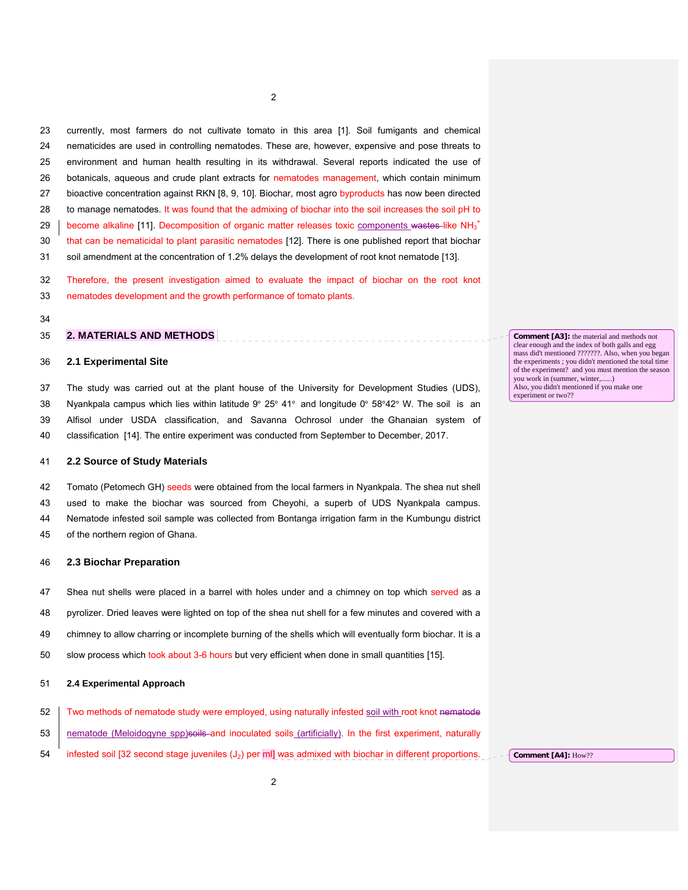23 currently, most farmers do not cultivate tomato in this area [1]. Soil fumigants and chemical 24 nematicides are used in controlling nematodes. These are, however, expensive and pose threats to 25 environment and human health resulting in its withdrawal. Several reports indicated the use of 26 botanicals, aqueous and crude plant extracts for nematodes management, which contain minimum 27 bioactive concentration against RKN [8, 9, 10]. Biochar, most agro byproducts has now been directed 28 to manage nematodes. It was found that the admixing of biochar into the soil increases the soil pH to 29 | become alkaline [11]. Decomposition of organic matter releases toxic components wastes-like NH<sub>3</sub><sup>+</sup> 30 that can be nematicidal to plant parasitic nematodes [12]. There is one published report that biochar 31 soil amendment at the concentration of 1.2% delays the development of root knot nematode [13].

32 Therefore, the present investigation aimed to evaluate the impact of biochar on the root knot 33 nematodes development and the growth performance of tomato plants.

34

## 35 **2. MATERIALS AND METHODS**

#### 36 **2.1 Experimental Site**

37 The study was carried out at the plant house of the University for Development Studies (UDS), 38 Nyankpala campus which lies within latitude  $9^{\circ}$  25° 41° and longitude 0° 58°42° W. The soil is an 39 Alfisol under USDA classification, and Savanna Ochrosol under the Ghanaian system of 40 classification [14]. The entire experiment was conducted from September to December, 2017.

### 41 **2.2 Source of Study Materials**

42 Tomato (Petomech GH) seeds were obtained from the local farmers in Nyankpala. The shea nut shell 43 used to make the biochar was sourced from Cheyohi, a superb of UDS Nyankpala campus. 44 Nematode infested soil sample was collected from Bontanga irrigation farm in the Kumbungu district 45 of the northern region of Ghana.

## 46 **2.3 Biochar Preparation**

- 47 Shea nut shells were placed in a barrel with holes under and a chimney on top which served as a
- 48 pyrolizer. Dried leaves were lighted on top of the shea nut shell for a few minutes and covered with a
- 49 chimney to allow charring or incomplete burning of the shells which will eventually form biochar. It is a
- 50 slow process which took about 3-6 hours but very efficient when done in small quantities [15].

#### 51 **2.4 Experimental Approach**

- 52 Two methods of nematode study were employed, using naturally infested soil with root knot nematode
- 53 nematode (Meloidogyne spp)soils and inoculated soils (artificially). In the first experiment, naturally
- 54 infested soil [32 second stage juveniles (J<sub>2</sub>) per ml] was admixed with biochar in different proportions.

**Comment [A3]:** the material and methods not clear enough and the index of both galls and egg mass did't mentioned ???????. Also, when you began the experiments ; you didn't mentioned the total time of the experiment? and you must mention the season you work in (summer, winter,......) Also, you didn't mentioned if you make one experiment or two??

**Comment [A4]:** How??

2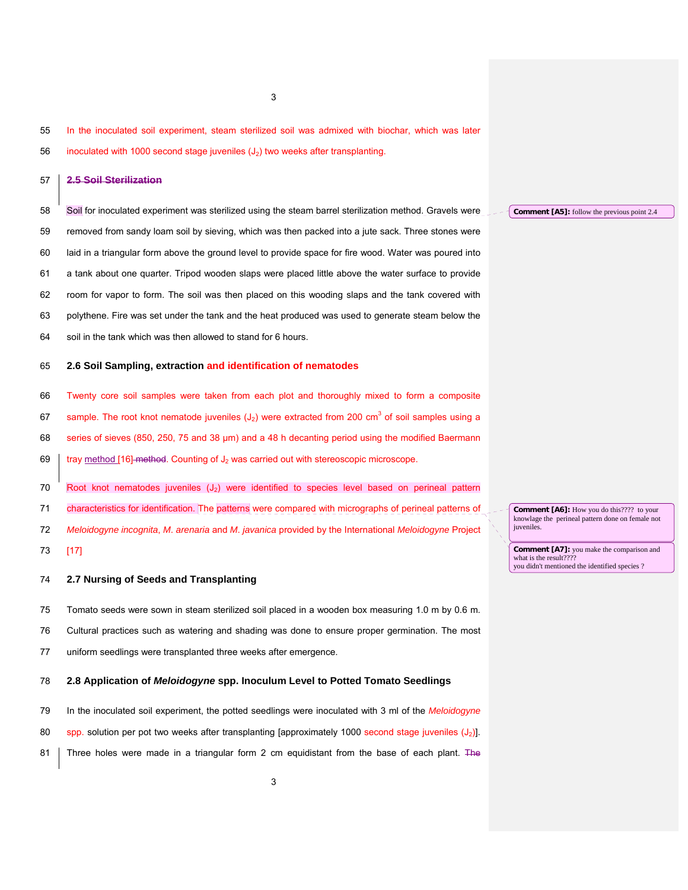3

## 56 inoculated with 1000 second stage juveniles  $(J_2)$  two weeks after transplanting.

## 57 **2.5 Soil Sterilization**

58 Soil for inoculated experiment was sterilized using the steam barrel sterilization method. Gravels were 59 removed from sandy loam soil by sieving, which was then packed into a jute sack. Three stones were

60 laid in a triangular form above the ground level to provide space for fire wood. Water was poured into 61 a tank about one quarter. Tripod wooden slaps were placed little above the water surface to provide

- 62 room for vapor to form. The soil was then placed on this wooding slaps and the tank covered with 63 polythene. Fire was set under the tank and the heat produced was used to generate steam below the
- 64 soil in the tank which was then allowed to stand for 6 hours.

#### 65 **2.6 Soil Sampling, extraction and identification of nematodes**

- 66 Twenty core soil samples were taken from each plot and thoroughly mixed to form a composite 67 sample. The root knot nematode juveniles  $(J_2)$  were extracted from 200 cm<sup>3</sup> of soil samples using a 68 series of sieves (850, 250, 75 and 38 μm) and a 48 h decanting period using the modified Baermann 69  $\frac{1}{2}$  tray method [16] method. Counting of J<sub>2</sub> was carried out with stereoscopic microscope.
- 70 Root knot nematodes juveniles  $(J_2)$  were identified to species level based on perineal pattern 71 characteristics for identification. The patterns were compared with micrographs of perineal patterns of
- 
- 72 *Meloidogyne incognita*, *M*. *arenaria* and *M*. *javanica* provided by the International *Meloidogyne* Project
- 73 [17]

## 74 **2.7 Nursing of Seeds and Transplanting**

- 75 Tomato seeds were sown in steam sterilized soil placed in a wooden box measuring 1.0 m by 0.6 m.
- 76 Cultural practices such as watering and shading was done to ensure proper germination. The most
- 77 uniform seedlings were transplanted three weeks after emergence.

#### 78 **2.8 Application of** *Meloidogyne* **spp. Inoculum Level to Potted Tomato Seedlings**

79 In the inoculated soil experiment, the potted seedlings were inoculated with 3 ml of the *Meloidogyne*  80 spp. solution per pot two weeks after transplanting [approximately 1000 second stage juveniles (J<sub>2</sub>)]. 81 Three holes were made in a triangular form 2 cm equidistant from the base of each plant. The **Comment [A5]:** follow the previous point 2.4

**Comment [A6]:** How you do this???? to your knowlage the perineal pattern done on female not juveniles.

**Comment [A7]:** you make the comparison and what is the result??? you didn't mentioned the identified species ?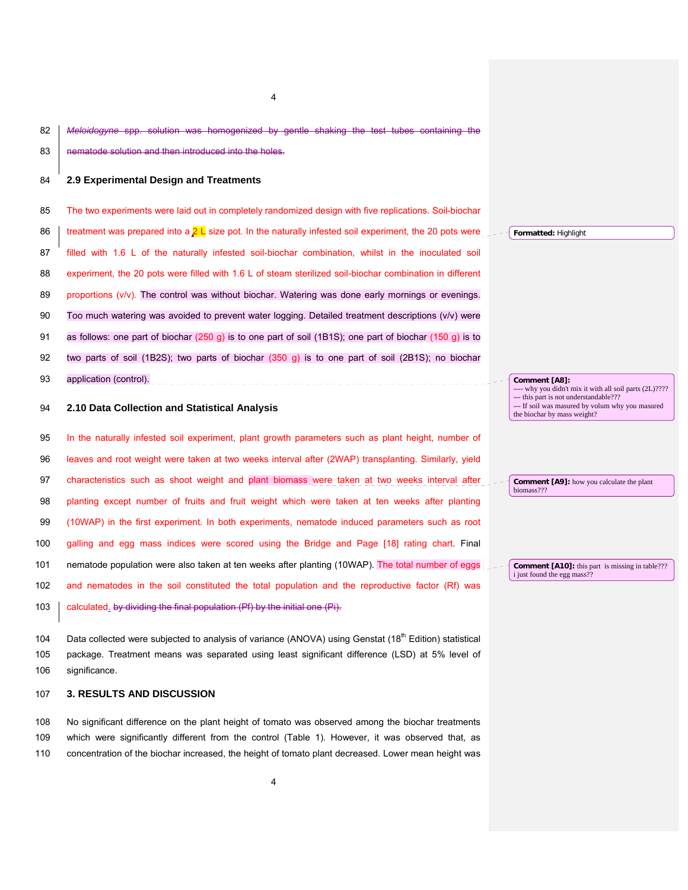82 *Meloidogyne* spp. solution was homogenized by gentle shaking the test tubes containing the 83 nematode solution and then introduced into the holes.

4

## 84 **2.9 Experimental Design and Treatments**

85 The two experiments were laid out in completely randomized design with five replications. Soil-biochar

- 86 treatment was prepared into a  $2 L$  size pot. In the naturally infested soil experiment, the 20 pots were 87 filled with 1.6 L of the naturally infested soil-biochar combination, whilst in the inoculated soil 88 experiment, the 20 pots were filled with 1.6 L of steam sterilized soil-biochar combination in different 89 proportions (v/v). The control was without biochar. Watering was done early mornings or evenings. 90 Too much watering was avoided to prevent water logging. Detailed treatment descriptions (v/v) were 91 as follows: one part of biochar (250 g) is to one part of soil (1B1S); one part of biochar (150 g) is to 92 two parts of soil (1B2S); two parts of biochar (350 g) is to one part of soil (2B1S); no biochar
- 93 application (control).

## 94 **2.10 Data Collection and Statistical Analysis**

95 In the naturally infested soil experiment, plant growth parameters such as plant height, number of 96 leaves and root weight were taken at two weeks interval after (2WAP) transplanting. Similarly, yield 97 characteristics such as shoot weight and plant biomass were taken at two weeks interval after 98 planting except number of fruits and fruit weight which were taken at ten weeks after planting 99 (10WAP) in the first experiment. In both experiments, nematode induced parameters such as root 100 galling and egg mass indices were scored using the Bridge and Page [18] rating chart. Final 101 nematode population were also taken at ten weeks after planting (10WAP). The total number of eggs 102 and nematodes in the soil constituted the total population and the reproductive factor (Rf) was 103  $\vert$  calculated. by dividing the final population (Pf) by the initial one (Pi).

104 Data collected were subjected to analysis of variance (ANOVA) using Genstat  $(18<sup>th</sup>$  Edition) statistical 105 package. Treatment means was separated using least significant difference (LSD) at 5% level of 106 significance.

## 107 **3. RESULTS AND DISCUSSION**

108 No significant difference on the plant height of tomato was observed among the biochar treatments 109 which were significantly different from the control (Table 1). However, it was observed that, as 110 concentration of the biochar increased, the height of tomato plant decreased. Lower mean height was

**Formatted:** Highlight

**Comment [A8]:**  why you didn't mix it with all soil parts (2L)???? --- this part is not understandable??? - If soil was masured by volum why you masured the biochar by mass weight?

**Comment [A9]:** how you calculate the plant biomass???

**Comment [A10]:** this part is missing in table??? i just found the egg mass??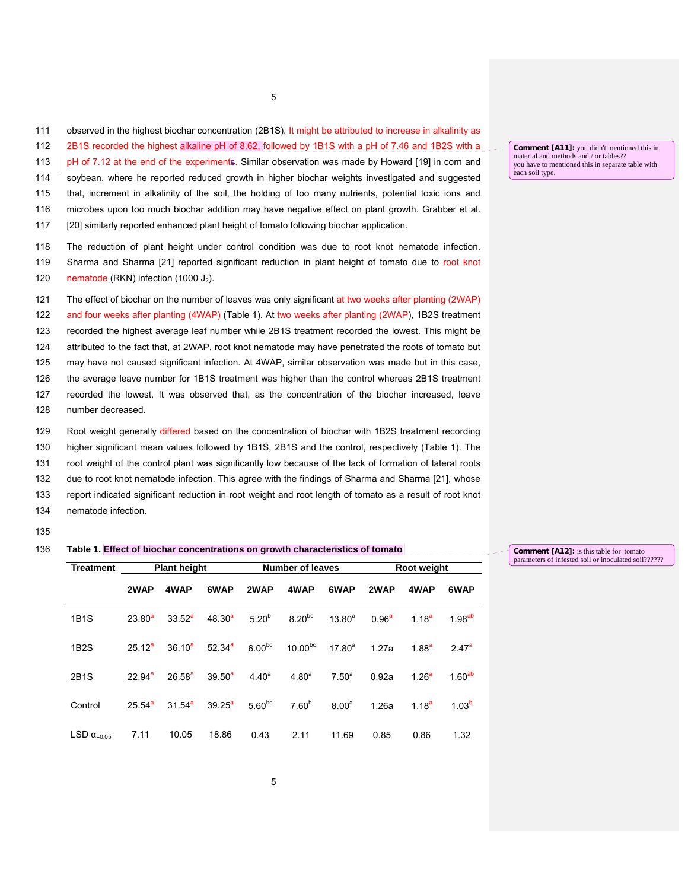111 observed in the highest biochar concentration (2B1S). It might be attributed to increase in alkalinity as

5

112 2B1S recorded the highest alkaline pH of 8.62, followed by 1B1S with a pH of 7.46 and 1B2S with a

113 | pH of 7.12 at the end of the experiments. Similar observation was made by Howard [19] in corn and 114 soybean, where he reported reduced growth in higher biochar weights investigated and suggested 115 that, increment in alkalinity of the soil, the holding of too many nutrients, potential toxic ions and 116 microbes upon too much biochar addition may have negative effect on plant growth. Grabber et al.

117 [20] similarly reported enhanced plant height of tomato following biochar application.

118 The reduction of plant height under control condition was due to root knot nematode infection. 119 Sharma and Sharma [21] reported significant reduction in plant height of tomato due to root knot 120 nematode (RKN) infection (1000 J<sub>2</sub>).

121 The effect of biochar on the number of leaves was only significant at two weeks after planting (2WAP) 122 and four weeks after planting (4WAP) (Table 1). At two weeks after planting (2WAP), 1B2S treatment 123 recorded the highest average leaf number while 2B1S treatment recorded the lowest. This might be 124 attributed to the fact that, at 2WAP, root knot nematode may have penetrated the roots of tomato but 125 may have not caused significant infection. At 4WAP, similar observation was made but in this case, 126 the average leave number for 1B1S treatment was higher than the control whereas 2B1S treatment 127 recorded the lowest. It was observed that, as the concentration of the biochar increased, leave 128 number decreased.

129 Root weight generally differed based on the concentration of biochar with 1B2S treatment recording 130 higher significant mean values followed by 1B1S, 2B1S and the control, respectively (Table 1). The 131 root weight of the control plant was significantly low because of the lack of formation of lateral roots 132 due to root knot nematode infection. This agree with the findings of Sharma and Sharma [21], whose 133 report indicated significant reduction in root weight and root length of tomato as a result of root knot 134 nematode infection.

135

#### 136 **Table 1. Effect of biochar concentrations on growth characteristics of tomato**

| <b>Treatment</b>              | <b>Plant height</b> |             |             |             | <b>Number of leaves</b> |                   | <b>Root weight</b> |                   |                    |
|-------------------------------|---------------------|-------------|-------------|-------------|-------------------------|-------------------|--------------------|-------------------|--------------------|
|                               | 2WAP                | 4WAP        | 6WAP        | 2WAP        | 4WAP                    | 6WAP              | 2WAP               | 4WAP              | 6WAP               |
| <b>1B1S</b>                   | $23.80^{a}$         | $33.52^a$   | $48.30^{a}$ | $5.20^{b}$  | $8.20^{bc}$             | $13.80^{a}$       | $0.96^{a}$         | $1.18^{a}$        | 1.98 <sup>ab</sup> |
| 1B <sub>2</sub> S             | $25.12^a$           | $36.10^{a}$ | $52.34^{a}$ | $6.00^{bc}$ | $10.00^{bc}$            | $17.80^{a}$       | 1.27a              | 1.88 <sup>a</sup> | $2.47^a$           |
| 2B1S                          | 22.94 <sup>a</sup>  | $26.58^{a}$ | $39.50^{a}$ | $4.40^{a}$  | 4.80 <sup>a</sup>       | $7.50^{\circ}$    | 0.92a              | 1.26 <sup>a</sup> | 1.60 <sup>ab</sup> |
| Control                       | $25.54^{\circ}$     | $31.54^a$   | $39.25^a$   | $5.60^{bc}$ | $7.60^{b}$              | 8.00 <sup>a</sup> | 1.26a              | 1.18 <sup>a</sup> | 1.03 <sup>b</sup>  |
| LSD $\alpha$ <sub>=0.05</sub> | 7.11                | 10.05       | 18.86       | 0.43        | 2.11                    | 11.69             | 0.85               | 0.86              | 1.32               |

**Comment [A11]:** you didn't mentioned this in material and methods and / or tables?? you have to mentioned this in separate table with each soil type.

**Comment [A12]:** is this table for tomato parameters of infested soil or inoculated soil??????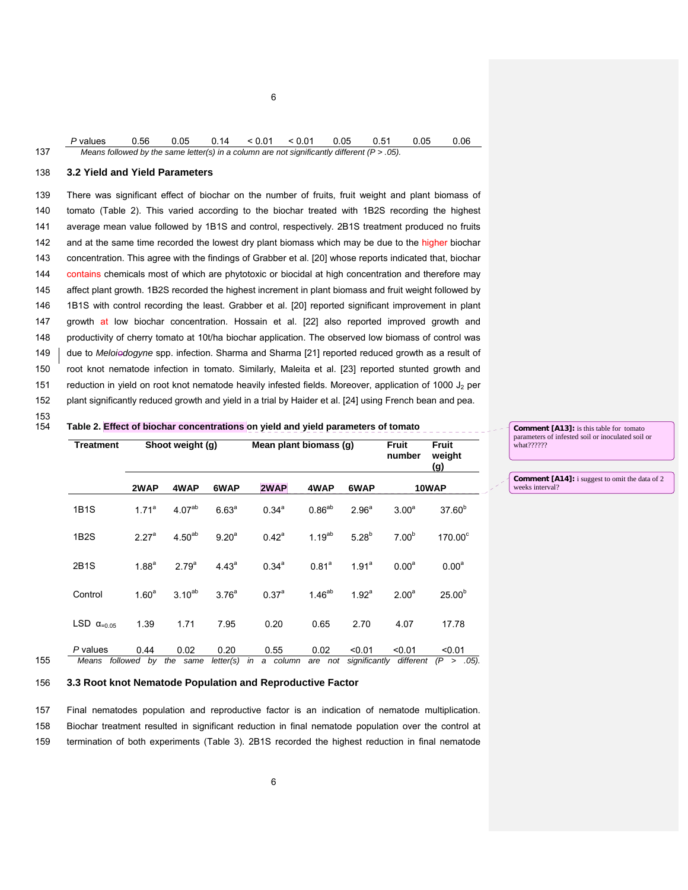|     | P values  0.56  0.05  0.14  < 0.01  < 0.01  0.05  0.51  0.05  0.06                              |  |  |  |  |  |
|-----|-------------------------------------------------------------------------------------------------|--|--|--|--|--|
| 137 | Means followed by the same letter(s) in a column are not significantly different ( $P > .05$ ). |  |  |  |  |  |

6

## 138 **3.2 Yield and Yield Parameters**

139 There was significant effect of biochar on the number of fruits, fruit weight and plant biomass of 140 tomato (Table 2). This varied according to the biochar treated with 1B2S recording the highest 141 average mean value followed by 1B1S and control, respectively. 2B1S treatment produced no fruits 142 and at the same time recorded the lowest dry plant biomass which may be due to the higher biochar 143 concentration. This agree with the findings of Grabber et al. [20] whose reports indicated that, biochar 144 contains chemicals most of which are phytotoxic or biocidal at high concentration and therefore may 145 affect plant growth. 1B2S recorded the highest increment in plant biomass and fruit weight followed by 146 1B1S with control recording the least. Grabber et al. [20] reported significant improvement in plant 147 growth at low biochar concentration. Hossain et al. [22] also reported improved growth and 148 productivity of cherry tomato at 10t/ha biochar application. The observed low biomass of control was 149 due to *Meloiodogyne* spp. infection. Sharma and Sharma [21] reported reduced growth as a result of 150 root knot nematode infection in tomato. Similarly, Maleita et al. [23] reported stunted growth and 151 reduction in yield on root knot nematode heavily infested fields. Moreover, application of 1000  $J_2$  per 152 plant significantly reduced growth and yield in a trial by Haider et al. [24] using French bean and pea.

153

#### Table 2. Effect of biochar concentrations on yield and yield parameters of tomato

|     | <b>Treatment</b>                       | Shoot weight (g)  |                    |                   | Mean plant biomass (q) |                   |                         |                     | <b>Fruit</b><br>weight<br><u>(g)</u> |
|-----|----------------------------------------|-------------------|--------------------|-------------------|------------------------|-------------------|-------------------------|---------------------|--------------------------------------|
|     |                                        | 2WAP              | 4WAP               | 6WAP              | 2WAP                   | 4WAP              | 6WAP                    |                     | 10WAP                                |
|     | 1B1S                                   | $1.71^a$          | 4.07 <sup>ab</sup> | 6.63 <sup>a</sup> | $0.34^{a}$             | $0.86^{ab}$       | 2.96 <sup>a</sup>       | 3.00 <sup>a</sup>   | $37.60^{b}$                          |
|     | 1B <sub>2</sub> S                      | 2.27 <sup>a</sup> | $4.50^{ab}$        | $9.20^{a}$        | $0.42^a$               | $1.19^{ab}$       | 5.28 <sup>b</sup>       | 7.00 <sup>b</sup>   | $170.00^\circ$                       |
|     | 2B1S                                   | 1.88 <sup>a</sup> | 2.79 <sup>a</sup>  | 4.43 <sup>a</sup> | $0.34^{a}$             | 0.81 <sup>a</sup> | 1.91 <sup>a</sup>       | 0.00 <sup>a</sup>   | 0.00 <sup>a</sup>                    |
|     | Control                                | 1.60 <sup>a</sup> | $3.10^{ab}$        | 3.76 <sup>a</sup> | 0.37 <sup>a</sup>      | $1.46^{ab}$       | 1.92 <sup>a</sup>       | 2.00 <sup>a</sup>   | $25.00^{b}$                          |
|     | LSD $\alpha$ <sub>=0.05</sub>          | 1.39              | 1.71               | 7.95              | 0.20                   | 0.65              | 2.70                    | 4.07                | 17.78                                |
| 155 | P values<br>Means followed by the same | 0.44              | 0.02               | 0.20<br>letter(s) | 0.55<br>in<br>a column | 0.02<br>are not   | < 0.01<br>significantly | < 0.01<br>different | < 0.01<br>$(P > .05)$ .              |

**Comment [A13]:** is this table for tomato parameters of infested soil or inoculated soil or .<br>what??????

**Comment [A14]:** i suggest to omit the data of 2 weeks interval?

## 156 **3.3 Root knot Nematode Population and Reproductive Factor**

157 Final nematodes population and reproductive factor is an indication of nematode multiplication. 158 Biochar treatment resulted in significant reduction in final nematode population over the control at 159 termination of both experiments (Table 3). 2B1S recorded the highest reduction in final nematode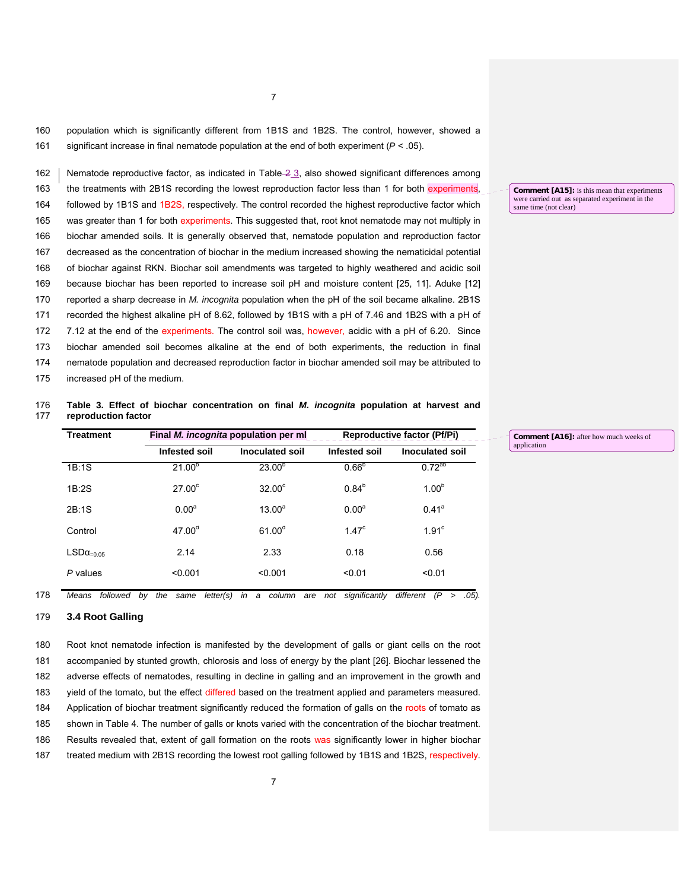7

160 population which is significantly different from 1B1S and 1B2S. The control, however, showed a 161 significant increase in final nematode population at the end of both experiment (*P* < .05).

162 | Nematode reproductive factor, as indicated in Table  $-2$  3, also showed significant differences among 163 the treatments with 2B1S recording the lowest reproduction factor less than 1 for both experiments, 164 followed by 1B1S and 1B2S, respectively. The control recorded the highest reproductive factor which 165 was greater than 1 for both experiments. This suggested that, root knot nematode may not multiply in 166 biochar amended soils. It is generally observed that, nematode population and reproduction factor 167 decreased as the concentration of biochar in the medium increased showing the nematicidal potential 168 of biochar against RKN. Biochar soil amendments was targeted to highly weathered and acidic soil 169 because biochar has been reported to increase soil pH and moisture content [25, 11]. Aduke [12] 170 reported a sharp decrease in *M. incognita* population when the pH of the soil became alkaline. 2B1S 171 recorded the highest alkaline pH of 8.62, followed by 1B1S with a pH of 7.46 and 1B2S with a pH of 172 7.12 at the end of the experiments. The control soil was, however, acidic with a pH of 6.20. Since 173 biochar amended soil becomes alkaline at the end of both experiments, the reduction in final 174 nematode population and decreased reproduction factor in biochar amended soil may be attributed to 175 increased pH of the medium.

#### 176 **Table 3. Effect of biochar concentration on final** *M. incognita* **population at harvest and**  177 **reproduction factor**

| <b>Treatment</b> |                   | Final <i>M. incognita</i> population per ml | <b>Reproductive factor (Pf/Pi)</b> |                   |  |  |
|------------------|-------------------|---------------------------------------------|------------------------------------|-------------------|--|--|
|                  | Infested soil     | <b>Inoculated soil</b>                      | Infested soil                      | Inoculated soil   |  |  |
| 1B:1S            | $21.00^{p}$       | $23.00^{6}$                                 | $0.66^{b}$                         | $0.72^{ab}$       |  |  |
| 1B:2S            | $27.00^\circ$     | $32.00^\circ$                               | $0.84^{b}$                         | $1.00^{b}$        |  |  |
| 2B:1S            | 0.00 <sup>a</sup> | $13.00^a$                                   | 0.00 <sup>a</sup>                  | 0.41 <sup>a</sup> |  |  |
| Control          | $47.00^{d}$       | 61.00 <sup>d</sup>                          | 1.47 <sup>c</sup>                  | 1.91 <sup>c</sup> |  |  |
| $LSDa=0.05$      | 2.14              | 2.33                                        | 0.18                               | 0.56              |  |  |
| P values         | < 0.001           | < 0.001                                     | < 0.01                             | < 0.01            |  |  |

**Comment [A16]:** after how much weeks of application

178 *Means followed by the same letter(s) in a column are not significantly different (P > .05).*

## 179 **3.4 Root Galling**

180 Root knot nematode infection is manifested by the development of galls or giant cells on the root 181 accompanied by stunted growth, chlorosis and loss of energy by the plant [26]. Biochar lessened the 182 adverse effects of nematodes, resulting in decline in galling and an improvement in the growth and 183 yield of the tomato, but the effect differed based on the treatment applied and parameters measured. 184 Application of biochar treatment significantly reduced the formation of galls on the roots of tomato as 185 shown in Table 4. The number of galls or knots varied with the concentration of the biochar treatment. 186 Results revealed that, extent of gall formation on the roots was significantly lower in higher biochar 187 treated medium with 2B1S recording the lowest root galling followed by 1B1S and 1B2S, respectively.

**Comment [A15]:** is this mean that experiments were carried out as separated experiment in the same time (not clear)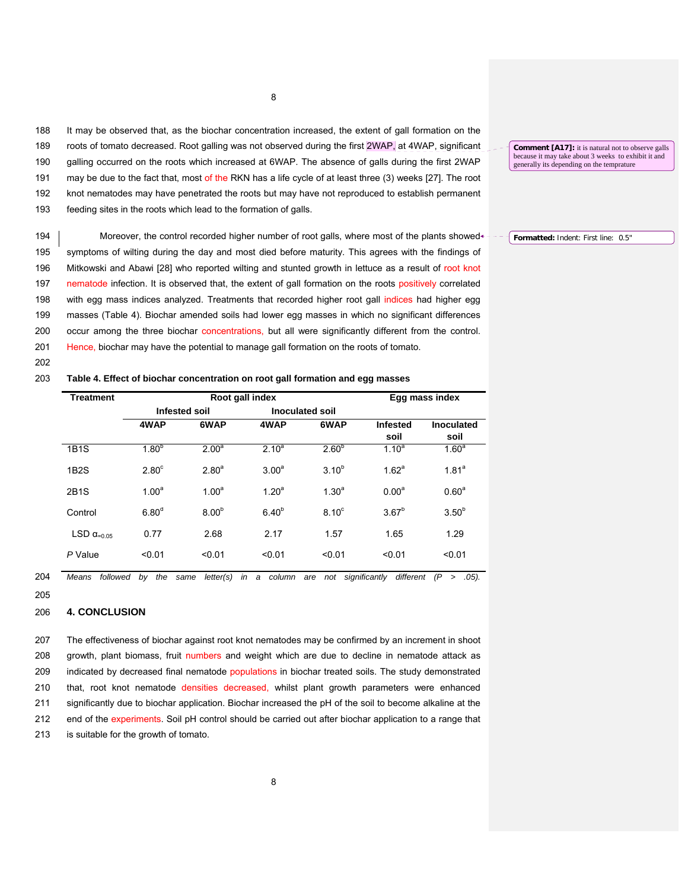188 It may be observed that, as the biochar concentration increased, the extent of gall formation on the 189 roots of tomato decreased. Root galling was not observed during the first 2WAP, at 4WAP, significant 190 galling occurred on the roots which increased at 6WAP. The absence of galls during the first 2WAP 191 may be due to the fact that, most of the RKN has a life cycle of at least three (3) weeks [27]. The root 192 knot nematodes may have penetrated the roots but may have not reproduced to establish permanent 193 feeding sites in the roots which lead to the formation of galls.

194 Moreover, the control recorded higher number of root galls, where most of the plants showed 195 symptoms of wilting during the day and most died before maturity. This agrees with the findings of 196 Mitkowski and Abawi [28] who reported wilting and stunted growth in lettuce as a result of root knot 197 nematode infection. It is observed that, the extent of gall formation on the roots positively correlated 198 with egg mass indices analyzed. Treatments that recorded higher root gall indices had higher egg 199 masses (Table 4). Biochar amended soils had lower egg masses in which no significant differences 200 occur among the three biochar concentrations, but all were significantly different from the control. 201 Hence, biochar may have the potential to manage gall formation on the roots of tomato.

202

## 203 **Table 4. Effect of biochar concentration on root gall formation and egg masses**

| <b>Treatment</b>              |                   | Root gall index                         |                   | Egg mass index    |                   |                   |
|-------------------------------|-------------------|-----------------------------------------|-------------------|-------------------|-------------------|-------------------|
|                               |                   | <b>Inoculated soil</b><br>Infested soil |                   |                   |                   |                   |
|                               | 4WAP              | 6WAP                                    | 4WAP              | 6WAP              | <b>Infested</b>   | <b>Inoculated</b> |
|                               |                   |                                         |                   |                   | soil              | soil              |
| <b>1B1S</b>                   | $1.80^{b}$        | 2.00 <sup>a</sup>                       | $2.10^{a}$        | 2.60 <sup>b</sup> | $1.10^{a}$        | 1.60 <sup>a</sup> |
| 1B2S                          | $2.80^\circ$      | 2.80 <sup>a</sup>                       | 3.00 <sup>a</sup> | $3.10^{b}$        | 1.62 <sup>a</sup> | 1.81 <sup>a</sup> |
| 2B1S                          | 1.00 <sup>a</sup> | 1.00 <sup>a</sup>                       | 1.20 <sup>a</sup> | $1.30^{a}$        | $0.00^a$          | 0.60 <sup>a</sup> |
| Control                       | 6.80 <sup>d</sup> | $8.00^{b}$                              | $6.40^{b}$        | 8.10 <sup>c</sup> | $3.67^{b}$        | $3.50^{b}$        |
| LSD $\alpha$ <sub>=0.05</sub> | 0.77              | 2.68                                    | 2.17              | 1.57              | 1.65              | 1.29              |
| P Value                       | < 0.01            | < 0.01                                  | < 0.01            | < 0.01            | < 0.01            | < 0.01            |

<sup>204</sup> *Means followed by the same letter(s) in a column are not significantly different (P > .05).*

## 206 **4. CONCLUSION**

207 The effectiveness of biochar against root knot nematodes may be confirmed by an increment in shoot 208 growth, plant biomass, fruit numbers and weight which are due to decline in nematode attack as 209 indicated by decreased final nematode populations in biochar treated soils. The study demonstrated 210 that, root knot nematode densities decreased, whilst plant growth parameters were enhanced 211 significantly due to biochar application. Biochar increased the pH of the soil to become alkaline at the 212 end of the experiments. Soil pH control should be carried out after biochar application to a range that 213 is suitable for the growth of tomato.

8

**Comment [A17]:** it is natural not to observe galls because it may take about 3 weeks to exhibit it and generally its depending on the temprature

**Formatted:** Indent: First line: 0.5"

<sup>205</sup>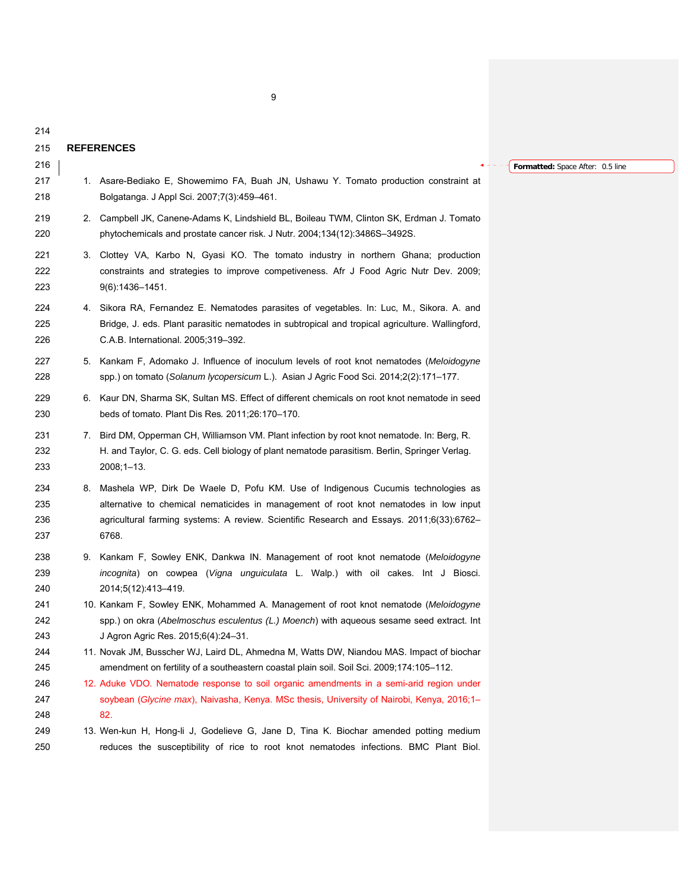# 215 **REFERENCES**

216

214

- 217 1. Asare-Bediako E, Showemimo FA, Buah JN, Ushawu Y. Tomato production constraint at 218 Bolgatanga. J Appl Sci. 2007;7(3):459–461.
- 219 2. Campbell JK, Canene-Adams K, Lindshield BL, Boileau TWM, Clinton SK, Erdman J. Tomato 220 phytochemicals and prostate cancer risk. J Nutr. 2004;134(12):3486S–3492S.
- 221 3. Clottey VA, Karbo N, Gyasi KO. The tomato industry in northern Ghana; production 222 constraints and strategies to improve competiveness. Afr J Food Agric Nutr Dev. 2009; 223 9(6):1436–1451.
- 224 4. Sikora RA, Fernandez E. Nematodes parasites of vegetables. In: Luc, M., Sikora. A. and 225 Bridge, J. eds. Plant parasitic nematodes in subtropical and tropical agriculture. Wallingford, 226 C.A.B. International. 2005;319–392.
- 227 5. Kankam F, Adomako J. Influence of inoculum levels of root knot nematodes (*Meloidogyne* 228 spp.) on tomato (*Solanum lycopersicum* L.). Asian J Agric Food Sci. 2014;2(2):171–177.
- 229 6. Kaur DN, Sharma SK, Sultan MS. Effect of different chemicals on root knot nematode in seed 230 beds of tomato. Plant Dis Res*.* 2011;26:170–170.
- 231 7. Bird DM, Opperman CH, Williamson VM. Plant infection by root knot nematode. In: Berg, R. 232 H. and Taylor, C. G. eds. Cell biology of plant nematode parasitism. Berlin, Springer Verlag. 233 2008;1–13.
- 234 8. Mashela WP, Dirk De Waele D, Pofu KM. Use of Indigenous Cucumis technologies as 235 alternative to chemical nematicides in management of root knot nematodes in low input 236 agricultural farming systems: A review. Scientific Research and Essays. 2011;6(33):6762– 237 6768.
- 238 9. Kankam F, Sowley ENK, Dankwa IN. Management of root knot nematode (*Meloidogyne*  239 *incognita*) on cowpea (*Vigna unguiculata* L. Walp.) with oil cakes. Int J Biosci. 240 2014;5(12):413–419.
- 241 10. Kankam F, Sowley ENK, Mohammed A. Management of root knot nematode (*Meloidogyne*  242 spp.) on okra (*Abelmoschus esculentus (L.) Moench*) with aqueous sesame seed extract. Int 243 J Agron Agric Res. 2015;6(4):24–31.
- 244 11. Novak JM, Busscher WJ, Laird DL, Ahmedna M, Watts DW, Niandou MAS. Impact of biochar 245 amendment on fertility of a southeastern coastal plain soil. Soil Sci. 2009;174:105–112.
- 246 12. Aduke VDO. Nematode response to soil organic amendments in a semi-arid region under 247 soybean (*Glycine max*), Naivasha, Kenya. MSc thesis, University of Nairobi, Kenya, 2016;1– 248 82.
- 249 13. Wen-kun H, Hong-li J, Godelieve G, Jane D, Tina K. Biochar amended potting medium 250 reduces the susceptibility of rice to root knot nematodes infections. BMC Plant Biol.

#### **Formatted:** Space After: 0.5 line

9